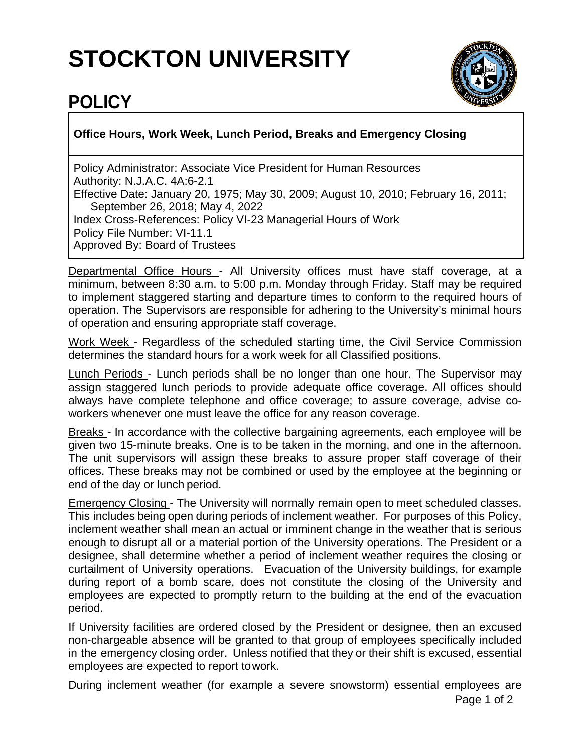## **STOCKTON UNIVERSITY**



## **POLICY**

## **Office Hours, Work Week, Lunch Period, Breaks and Emergency Closing**

Policy Administrator: Associate Vice President for Human Resources Authority: N.J.A.C. 4A:6-2.1 Effective Date: January 20, 1975; May 30, 2009; August 10, 2010; February 16, 2011; September 26, 2018; May 4, 2022 Index Cross-References: Policy VI-23 Managerial Hours of Work Policy File Number: VI-11.1 Approved By: Board of Trustees

Departmental Office Hours - All University offices must have staff coverage, at a minimum, between 8:30 a.m. to 5:00 p.m. Monday through Friday. Staff may be required to implement staggered starting and departure times to conform to the required hours of operation. The Supervisors are responsible for adhering to the University's minimal hours of operation and ensuring appropriate staff coverage.

Work Week - Regardless of the scheduled starting time, the Civil Service Commission determines the standard hours for a work week for all Classified positions.

Lunch Periods - Lunch periods shall be no longer than one hour. The Supervisor may assign staggered lunch periods to provide adequate office coverage. All offices should always have complete telephone and office coverage; to assure coverage, advise coworkers whenever one must leave the office for any reason coverage.

Breaks - In accordance with the collective bargaining agreements, each employee will be given two 15-minute breaks. One is to be taken in the morning, and one in the afternoon. The unit supervisors will assign these breaks to assure proper staff coverage of their offices. These breaks may not be combined or used by the employee at the beginning or end of the day or lunch period.

Emergency Closing - The University will normally remain open to meet scheduled classes. This includes being open during periods of inclement weather. For purposes of this Policy, inclement weather shall mean an actual or imminent change in the weather that is serious enough to disrupt all or a material portion of the University operations. The President or a designee, shall determine whether a period of inclement weather requires the closing or curtailment of University operations. Evacuation of the University buildings, for example during report of a bomb scare, does not constitute the closing of the University and employees are expected to promptly return to the building at the end of the evacuation period.

If University facilities are ordered closed by the President or designee, then an excused non-chargeable absence will be granted to that group of employees specifically included in the emergency closing order. Unless notified that they or their shift is excused, essential employees are expected to report towork.

During inclement weather (for example a severe snowstorm) essential employees are